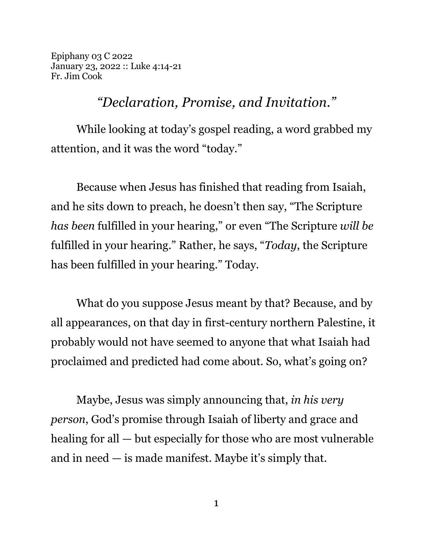Epiphany 03 C 2022 January 23, 2022 :: Luke 4:14-21 Fr. Jim Cook

*"Declaration, Promise, and Invitation."*

While looking at today's gospel reading, a word grabbed my attention, and it was the word "today."

Because when Jesus has finished that reading from Isaiah, and he sits down to preach, he doesn't then say, "The Scripture *has been* fulfilled in your hearing," or even "The Scripture *will be* fulfilled in your hearing." Rather, he says, "*Today*, the Scripture has been fulfilled in your hearing." Today.

What do you suppose Jesus meant by that? Because, and by all appearances, on that day in first-century northern Palestine, it probably would not have seemed to anyone that what Isaiah had proclaimed and predicted had come about. So, what's going on?

Maybe, Jesus was simply announcing that, *in his very person*, God's promise through Isaiah of liberty and grace and healing for all — but especially for those who are most vulnerable and in need — is made manifest. Maybe it's simply that.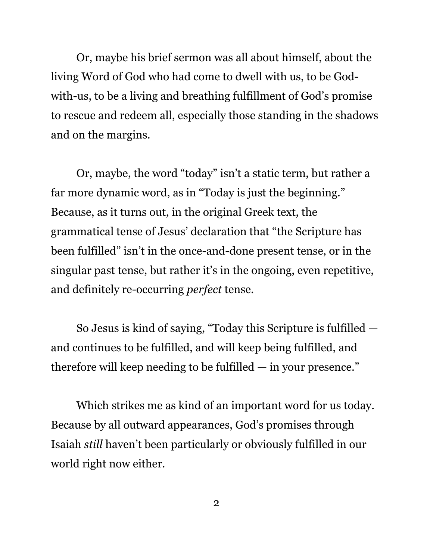Or, maybe his brief sermon was all about himself, about the living Word of God who had come to dwell with us, to be Godwith-us, to be a living and breathing fulfillment of God's promise to rescue and redeem all, especially those standing in the shadows and on the margins.

Or, maybe, the word "today" isn't a static term, but rather a far more dynamic word, as in "Today is just the beginning." Because, as it turns out, in the original Greek text, the grammatical tense of Jesus' declaration that "the Scripture has been fulfilled" isn't in the once-and-done present tense, or in the singular past tense, but rather it's in the ongoing, even repetitive, and definitely re-occurring *perfect* tense.

So Jesus is kind of saying, "Today this Scripture is fulfilled and continues to be fulfilled, and will keep being fulfilled, and therefore will keep needing to be fulfilled — in your presence."

Which strikes me as kind of an important word for us today. Because by all outward appearances, God's promises through Isaiah *still* haven't been particularly or obviously fulfilled in our world right now either.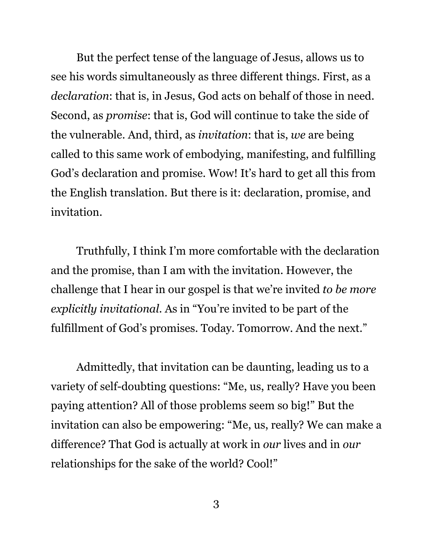But the perfect tense of the language of Jesus, allows us to see his words simultaneously as three different things. First, as a *declaration*: that is, in Jesus, God acts on behalf of those in need. Second, as *promise*: that is, God will continue to take the side of the vulnerable. And, third, as *invitation*: that is, *we* are being called to this same work of embodying, manifesting, and fulfilling God's declaration and promise. Wow! It's hard to get all this from the English translation. But there is it: declaration, promise, and invitation.

Truthfully, I think I'm more comfortable with the declaration and the promise, than I am with the invitation. However, the challenge that I hear in our gospel is that we're invited *to be more explicitly invitational*. As in "You're invited to be part of the fulfillment of God's promises. Today. Tomorrow. And the next."

Admittedly, that invitation can be daunting, leading us to a variety of self-doubting questions: "Me, us, really? Have you been paying attention? All of those problems seem so big!" But the invitation can also be empowering: "Me, us, really? We can make a difference? That God is actually at work in *our* lives and in *our* relationships for the sake of the world? Cool!"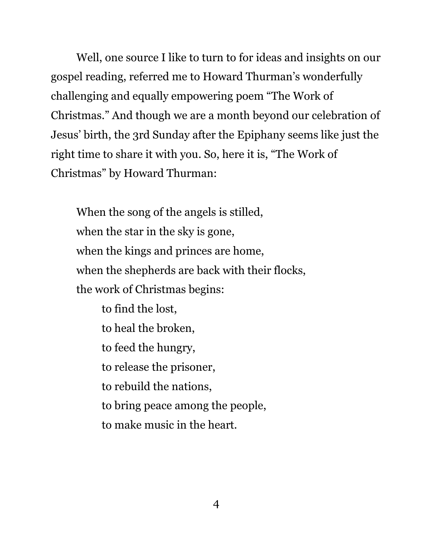Well, one source I like to turn to for ideas and insights on our gospel reading, referred me to Howard Thurman's wonderfully challenging and equally empowering poem "The Work of Christmas." And though we are a month beyond our celebration of Jesus' birth, the 3rd Sunday after the Epiphany seems like just the right time to share it with you. So, here it is, "The Work of Christmas" by Howard Thurman:

When the song of the angels is stilled, when the star in the sky is gone, when the kings and princes are home, when the shepherds are back with their flocks, the work of Christmas begins:

> to find the lost, to heal the broken, to feed the hungry, to release the prisoner, to rebuild the nations, to bring peace among the people, to make music in the heart.